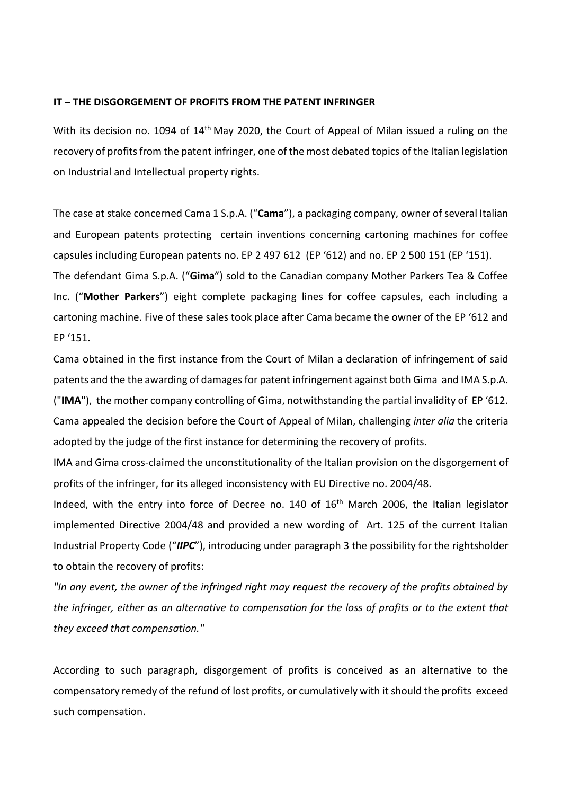## **IT – THE DISGORGEMENT OF PROFITS FROM THE PATENT INFRINGER**

With its decision no. 1094 of 14<sup>th</sup> May 2020, the Court of Appeal of Milan issued a ruling on the recovery of profits from the patent infringer, one of the most debated topics of the Italian legislation on Industrial and Intellectual property rights.

The case at stake concerned Cama 1 S.p.A. ("**Cama**"), a packaging company, owner of several Italian and European patents protecting certain inventions concerning cartoning machines for coffee capsules including European patents no. EP 2 497 612 (EP '612) and no. EP 2 500 151 (EP '151). The defendant Gima S.p.A. ("**Gima**") sold to the Canadian company Mother Parkers Tea & Coffee Inc. ("**Mother Parkers**") eight complete packaging lines for coffee capsules, each including a cartoning machine. Five of these sales took place after Cama became the owner of the EP '612 and EP '151.

Cama obtained in the first instance from the Court of Milan a declaration of infringement of said patents and the the awarding of damages for patent infringement against both Gima and IMA S.p.A. ("**IMA**"), the mother company controlling of Gima, notwithstanding the partial invalidity of EP '612. Cama appealed the decision before the Court of Appeal of Milan, challenging *inter alia* the criteria adopted by the judge of the first instance for determining the recovery of profits.

IMA and Gima cross-claimed the unconstitutionality of the Italian provision on the disgorgement of profits of the infringer, for its alleged inconsistency with EU Directive no. 2004/48.

Indeed, with the entry into force of Decree no. 140 of 16<sup>th</sup> March 2006, the Italian legislator implemented Directive 2004/48 and provided a new wording of Art. 125 of the current Italian Industrial Property Code ("*IIPC*"), introducing under paragraph 3 the possibility for the rightsholder to obtain the recovery of profits:

*"In any event, the owner of the infringed right may request the recovery of the profits obtained by the infringer, either as an alternative to compensation for the loss of profits or to the extent that they exceed that compensation."* 

According to such paragraph, disgorgement of profits is conceived as an alternative to the compensatory remedy of the refund of lost profits, or cumulatively with it should the profits exceed such compensation.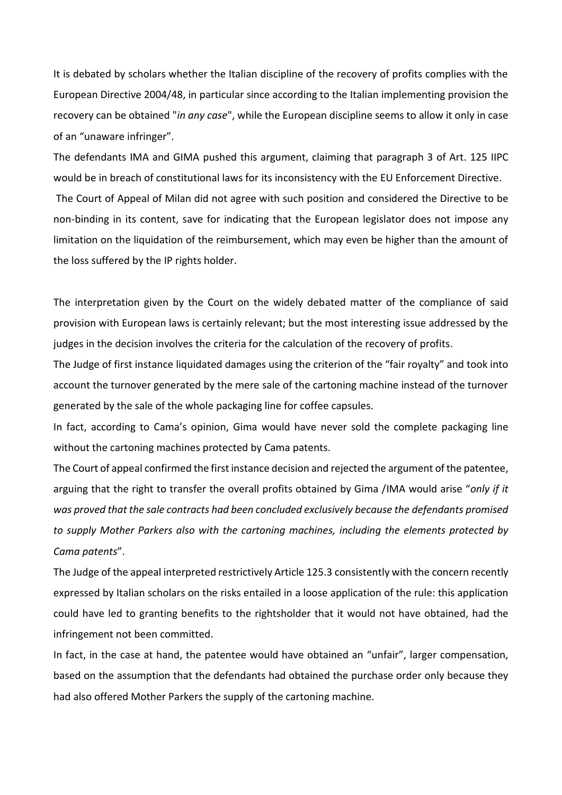It is debated by scholars whether the Italian discipline of the recovery of profits complies with the European Directive 2004/48, in particular since according to the Italian implementing provision the recovery can be obtained "*in any case*", while the European discipline seems to allow it only in case of an "unaware infringer".

The defendants IMA and GIMA pushed this argument, claiming that paragraph 3 of Art. 125 IIPC would be in breach of constitutional laws for its inconsistency with the EU Enforcement Directive. The Court of Appeal of Milan did not agree with such position and considered the Directive to be non-binding in its content, save for indicating that the European legislator does not impose any limitation on the liquidation of the reimbursement, which may even be higher than the amount of the loss suffered by the IP rights holder.

The interpretation given by the Court on the widely debated matter of the compliance of said provision with European laws is certainly relevant; but the most interesting issue addressed by the judges in the decision involves the criteria for the calculation of the recovery of profits.

The Judge of first instance liquidated damages using the criterion of the "fair royalty" and took into account the turnover generated by the mere sale of the cartoning machine instead of the turnover generated by the sale of the whole packaging line for coffee capsules.

In fact, according to Cama's opinion, Gima would have never sold the complete packaging line without the cartoning machines protected by Cama patents.

The Court of appeal confirmed the first instance decision and rejected the argument of the patentee, arguing that the right to transfer the overall profits obtained by Gima /IMA would arise "*only if it was proved that the sale contracts had been concluded exclusively because the defendants promised to supply Mother Parkers also with the cartoning machines, including the elements protected by Cama patents*".

The Judge of the appeal interpreted restrictively Article 125.3 consistently with the concern recently expressed by Italian scholars on the risks entailed in a loose application of the rule: this application could have led to granting benefits to the rightsholder that it would not have obtained, had the infringement not been committed.

In fact, in the case at hand, the patentee would have obtained an "unfair", larger compensation, based on the assumption that the defendants had obtained the purchase order only because they had also offered Mother Parkers the supply of the cartoning machine.